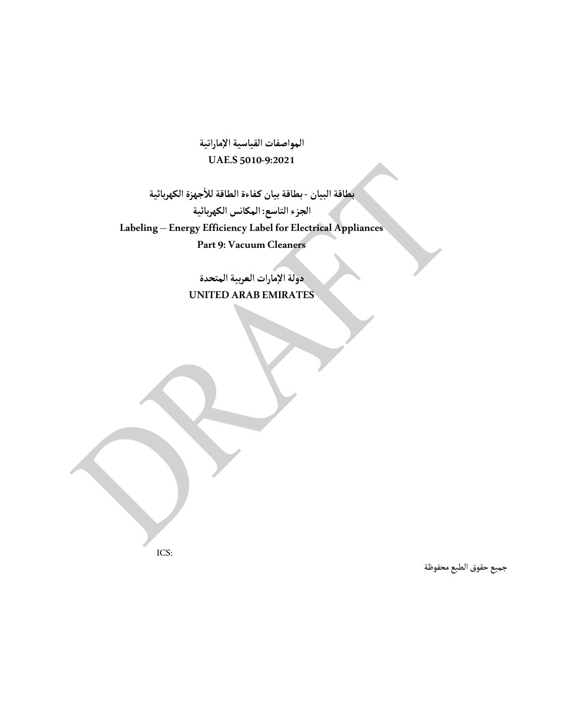**المواصفات القياسية ٕ الاماراتية UAE.S 50109:2021**

**بطاقةبيان كـفاءة الطاقةللا ٔ بطاقةالبيان جهزة الكهربائية الجزءالتاسع: المكانس الكهربائية Labeling – Energy Efficiency Label for Electrical Appliances Part 9: Vacuum Cleaners**

> **دولة ٕ الامارات العربيةالمتحدة UNITED ARAB EMIRATES**

> > جميع حقوق الطبع محفوظة

ICS: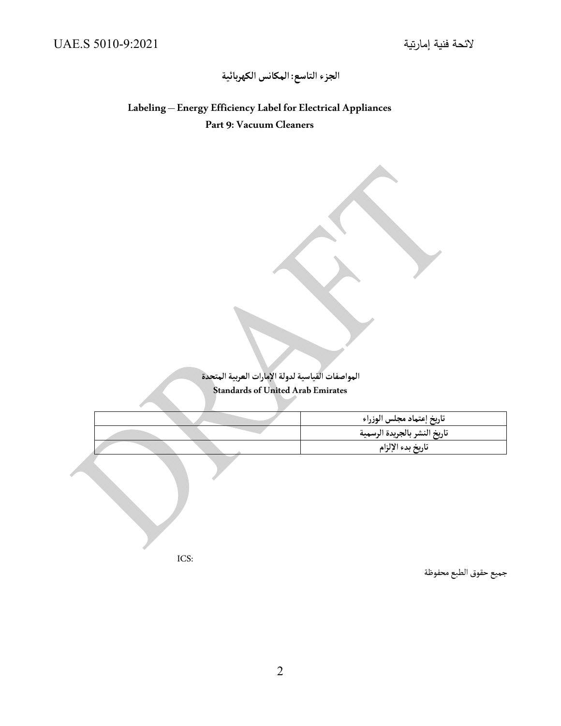# **الجزءالتاسع: المكانس الكهربائية**

**Labeling – Energy Efficiency Label for Electrical Appliances Part 9: Vacuum Cleaners** 

> **المواصفات القياسيةلدولة ٕ الامارات العربيةالمتحدة Standards of United Arab Emirates**

|      | تاريخ إعتماد مجلس الوزراء<br>تاريخ النشر بالجريدة الرسمية<br>تاريخ بدء الإلزام |
|------|--------------------------------------------------------------------------------|
|      |                                                                                |
| ICS: |                                                                                |

جميع حقوق الطبع محفوظة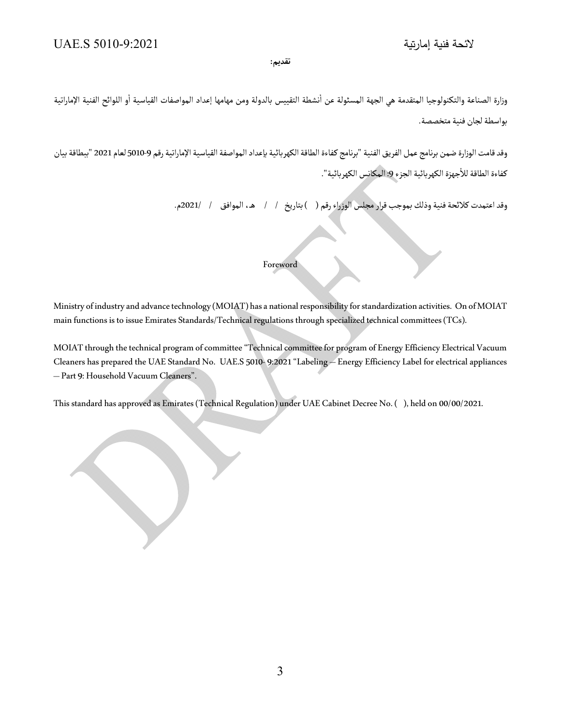# **تقديم:**

ٔوزارة الصناعة والتكنولوجيا المتقدمة هي الجهة المسئولة عن أنشطة التقييس بالدولة ومن مهامها إعداد المواصفات القياسية أو اللوائح الفنية الإماراتية ٔبواسطة لجان فنية متخصصة.

وقد قامت الوزارة ضمن برنامج عمل الفريق الفنية "برنامج كفاءة الطاقة الكهربائية بإعداد المواصفة القياسية الإماراتية رقم 9-5010 لعام 2021 "ببطاقة بيان كفاءة الطاقة للأجهزة الكهربائية الجزء 9: المكانس الكهربائية".

وقد اعتمدت كلائحة فنية وذلك بموجب قرار مجلس الوزراء رقم ( ) بتاريخ / / هـ، الموافق / / 2021م.

# Foreword

Ministry of industry and advance technology (MOIAT) has a national responsibility for standardization activities. On of MOIAT main functions is to issue Emirates Standards/Technical regulations through specialized technical committees (TCs).

MOIAT through the technical program of committee "Technical committee for program of Energy Efficiency Electrical Vacuum Cleaners has prepared the UAE Standard No. UAE.S 5010 9:2021 "Labeling – Energy Efficiency Label for electrical appliances – Part 9: Household Vacuum Cleaners".

This standard has approved as Emirates (Technical Regulation) under UAE Cabinet Decree No. ( ), held on 00/00/2021.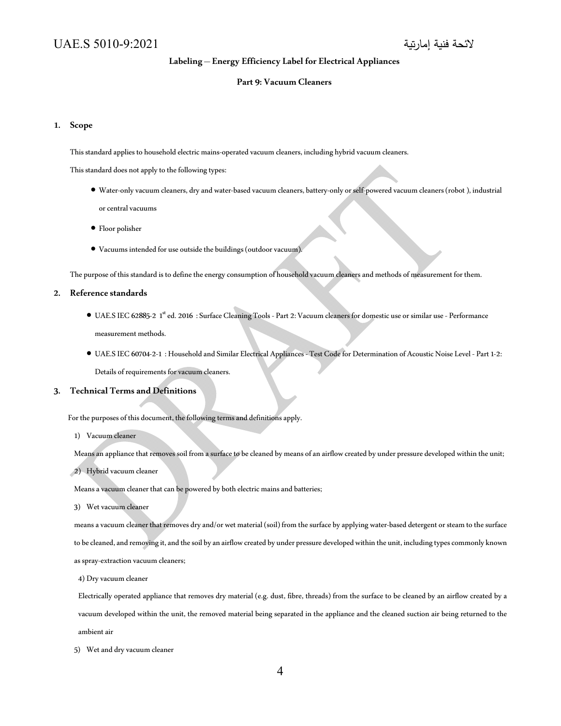# **Labeling – Energy Efficiency Label for Electrical Appliances**

## **Part 9: Vacuum Cleaners**

## **1. Scope**

This standard applies to household electric mains-operated vacuum cleaners, including hybrid vacuum cleaners.

This standard does not apply to the following types:

- Water-only vacuum cleaners, dry and water-based vacuum cleaners, battery-only or self-powered vacuum cleaners (robot), industrial or central vacuums
- Floor polisher
- Vacuums intended for use outside the buildings (outdoor vacuum).

The purpose of this standard is to define the energy consumption of household vacuum cleaners and methods of measurement for them.

# **2. Reference standards**

- UAE.S IEC 62885-2 1<sup>st</sup> ed. 2016 : Surface Cleaning Tools Part 2: Vacuum cleaners for domestic use or similar use Performance measurement methods.
- UAE.S IEC 6070421 : Household and Similar Electrical Appliances Test Code for Determination of Acoustic Noise Level Part 12: Details of requirements for vacuum cleaners.

#### **3. Technical Terms and Definitions**

For the purposes of this document, the following terms and definitions apply.

1) Vacuum cleaner

Means an appliance that removes soil from a surface to be cleaned by means of an airflow created by under pressure developed within the unit;

2) Hybrid vacuum cleaner

Means a vacuum cleaner that can be powered by both electric mains and batteries;

3) Wet vacuum cleaner

means a vacuum cleaner that removes dry and/or wet material (soil) from the surface by applying waterbased detergent or steam to the surface to be cleaned, and removing it, and the soil by an airflow created by under pressure developed within the unit, including types commonly known as spray-extraction vacuum cleaners;

4) Dry vacuum cleaner

Electrically operated appliance that removes dry material (e.g. dust, fibre, threads) from the surface to be cleaned by an airflow created by a vacuum developed within the unit, the removed material being separated in the appliance and the cleaned suction air being returned to the ambient air

5) Wet and dry vacuum cleaner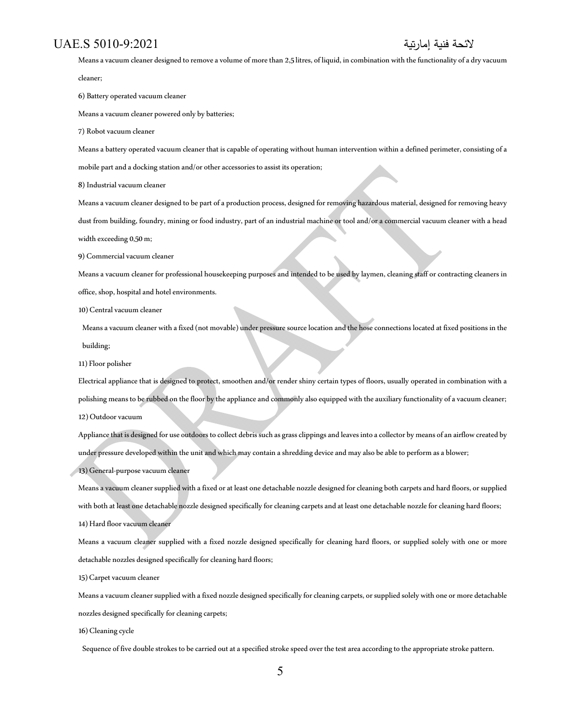Means a vacuum cleaner designed to remove a volume of more than 2,5 litres, of liquid, in combination with the functionality of a dry vacuum cleaner;

6) Battery operated vacuum cleaner

Means a vacuum cleaner powered only by batteries;

7) Robot vacuum cleaner

Means a battery operated vacuum cleaner that is capable of operating without human intervention within a defined perimeter, consisting of a

mobile part and a docking station and/or other accessories to assist its operation;

8) Industrial vacuum cleaner

Means a vacuum cleaner designed to be part of a production process, designed for removing hazardous material, designed for removing heavy dust from building, foundry, mining or food industry, part of an industrial machine or tool and/or a commercial vacuum cleaner with a head width exceeding 0,50 m;

9) Commercial vacuum cleaner

Means a vacuum cleaner for professional housekeeping purposes and intended to be used by laymen, cleaning staff or contracting cleaners in office, shop, hospital and hotel environments.

10) Central vacuum cleaner

Means a vacuum cleaner with a fixed (not movable) under pressure source location and the hose connections located at fixed positions in the building;

11) Floor polisher

Electrical appliance that is designed to protect, smoothen and/or render shiny certain types of floors, usually operated in combination with a polishing means to be rubbed on the floor by the appliance and commonly also equipped with the auxiliary functionality of a vacuum cleaner; 12) Outdoor vacuum

Appliance that is designed for use outdoors to collect debris such as grass clippings and leaves into a collector by means of an airflow created by under pressure developed within the unit and which may contain a shredding device and may also be able to perform as a blower;

13) General-purpose vacuum cleaner

Means a vacuum cleaner supplied with a fixed or at least one detachable nozzle designed for cleaning both carpets and hard floors, or supplied with both at least one detachable nozzle designed specifically for cleaning carpets and at least one detachable nozzle for cleaning hard floors; 14) Hard floor vacuum cleaner

Means a vacuum cleaner supplied with a fixed nozzle designed specifically for cleaning hard floors, or supplied solely with one or more detachable nozzles designed specifically for cleaning hard floors;

15) Carpet vacuum cleaner

Means a vacuum cleaner supplied with a fixed nozzle designed specifically for cleaning carpets, or supplied solely with one or more detachable nozzles designed specifically for cleaning carpets;

#### 16) Cleaning cycle

Sequence of five double strokes to be carried out at a specified stroke speed over the test area according to the appropriate stroke pattern.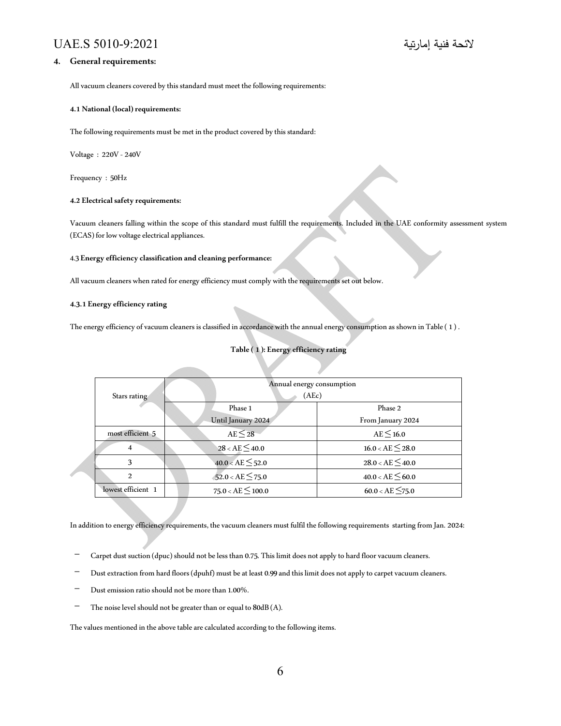# **4. General requirements:**

All vacuum cleaners covered by this standard must meet the following requirements:

#### **4.1 National (local) requirements:**

The following requirements must be met in the product covered by this standard:

Voltage: 220V - 240V

Frequency : 50Hz

## **4.2 Electrical safety requirements:**

Vacuum cleaners falling within the scope of this standard must fulfill the requirements. Included in the UAE conformity assessment system (ECAS) for low voltage electrical appliances.

#### 4.3 **Energy efficiency classification and cleaning performance:**

All vacuum cleaners when rated for energy efficiency must comply with the requirements set out below.

#### **4.3.1 Energy efficiency rating**

The energy efficiency of vacuum cleaners is classified in accordance with the annual energy consumption as shown in Table ( 1 ) .

# **Table ( 1 ): Energy efficiency rating**

|  |                    | Annual energy consumption |                       |
|--|--------------------|---------------------------|-----------------------|
|  | Stars rating       | (AEc)                     |                       |
|  |                    | Phase 1                   | Phase 2               |
|  |                    | Until January 2024        | From January 2024     |
|  | most efficient 5   | $AE \leq 28$              | $AE \leq 16.0$        |
|  | 4                  | $28 < AE \leq 40.0$       | $16.0 < AE \leq 28.0$ |
|  | 3                  | $40.0 < AE \leq 52.0$     | $28.0 < AE \leq 40.0$ |
|  | $\mathcal{L}$      | $52.0 < AE \leq 75.0$     | $40.0 < AE \leq 60.0$ |
|  | lowest efficient 1 | $75.0 < AE \leq 100.0$    | $60.0 < AE \leq 75.0$ |

In addition to energy efficiency requirements, the vacuum cleaners must fulfil the following requirements starting from Jan. 2024:

- Carpet dust suction (dpuc) should not be less than 0.75. This limit does not apply to hard floor vacuum cleaners.
- Dust extraction from hard floors (dpuhf) must be at least 0.99 and this limit does not apply to carpet vacuum cleaners.
- Dust emission ratio should not be more than 1.00%.
- The noise level should not be greater than or equal to 80dB (A).

The values mentioned in the above table are calculated according to the following items.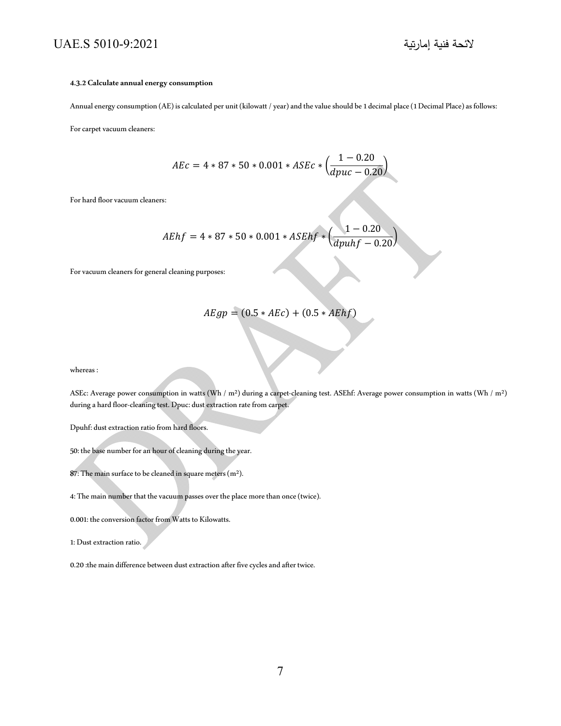#### **4.3.2 Calculate annual energy consumption**

Annual energy consumption (AE) is calculated per unit (kilowatt / year) and the value should be 1 decimal place (1 Decimal Place) as follows:

For carpet vacuum cleaners:

$$
AEc = 4 * 87 * 50 * 0.001 * ASEC * \left(\frac{1 - 0.20}{dpuc - 0.20}\right)
$$

For hard floor vacuum cleaners:

$$
AEhf = 4 * 87 * 50 * 0.001 * ASEhf * \left(\frac{1 - 0.20}{dpuhf - 0.20}\right)
$$

For vacuum cleaners for general cleaning purposes:

$$
A E g p = (0.5 * A E c) + (0.5 * A E h f)
$$

whereas :

ASEc: Average power consumption in watts (Wh / m<sup>2</sup>) during a carpet-cleaning test. ASEhf: Average power consumption in watts (Wh / m<sup>2</sup>) during a hard floor-cleaning test. Dpuc: dust extraction rate from carpet.

Dpuhf: dust extraction ratio from hard floors.

- 50: the base number for an hour of cleaning during the year.
- 87: The main surface to be cleaned in square meters (m²).

4: The main number that the vacuum passes over the place more than once (twice).

0.001: the conversion factor from Watts to Kilowatts.

1: Dust extraction ratio.

0.20 :the main difference between dust extraction after five cycles and after twice.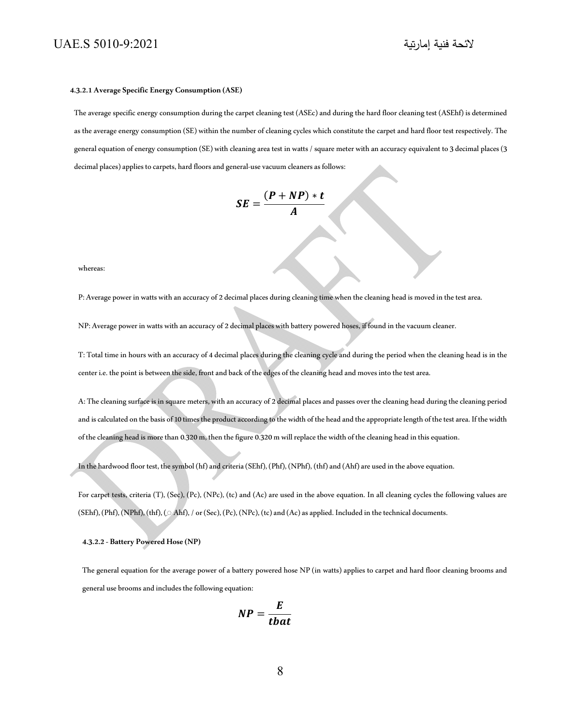#### **4.3.2.1 Average Specific Energy Consumption (ASE)**

The average specific energy consumption during the carpet cleaning test (ASEc) and during the hard floor cleaning test (ASEhf) is determined as the average energy consumption (SE) within the number of cleaning cycles which constitute the carpet and hard floor test respectively. The general equation of energy consumption (SE) with cleaning area test in watts / square meter with an accuracy equivalent to 3 decimal places (3 decimal places) applies to carpets, hard floors and general-use vacuum cleaners as follows:

$$
SE = \frac{(P + NP) * t}{A}
$$

whereas:

P: Average power in watts with an accuracy of 2 decimal places during cleaning time when the cleaning head is moved in the test area.

NP: Average power in watts with an accuracy of 2 decimal places with battery powered hoses, if found in the vacuum cleaner.

T: Total time in hours with an accuracy of 4 decimal places during the cleaning cycle and during the period when the cleaning head is in the center i.e. the point is between the side, front and back of the edges of the cleaning head and moves into the test area.

A: The cleaning surface is in square meters, with an accuracy of 2 decimal places and passes over the cleaning head during the cleaning period and is calculated on the basis of 10 times the product according to the width of the head and the appropriate length of the test area. If the width of the cleaning head is more than 0.320 m, then the figure 0.320 m will replace the width of the cleaning head in this equation.

In the hardwood floor test, the symbol (hf) and criteria (SEhf), (Phf), (NPhf), (thf) and (Ahf) are used in the above equation.

For carpet tests, criteria (T), (Sec), (Pc), (NPc), (tc) and (Ac) are used in the above equation. In all cleaning cycles the following values are (SEhf), (Phf), (NPhf), (thf), ( $\triangle$  Ahf), / or (Sec), (Pc), (NPc), (tc) and (Ac) as applied. Included in the technical documents.

#### **4.3.2.2 Battery Powered Hose (NP)**

The general equation for the average power of a battery powered hose NP (in watts) applies to carpet and hard floor cleaning brooms and general use brooms and includes the following equation:

$$
NP = \frac{E}{tbat}
$$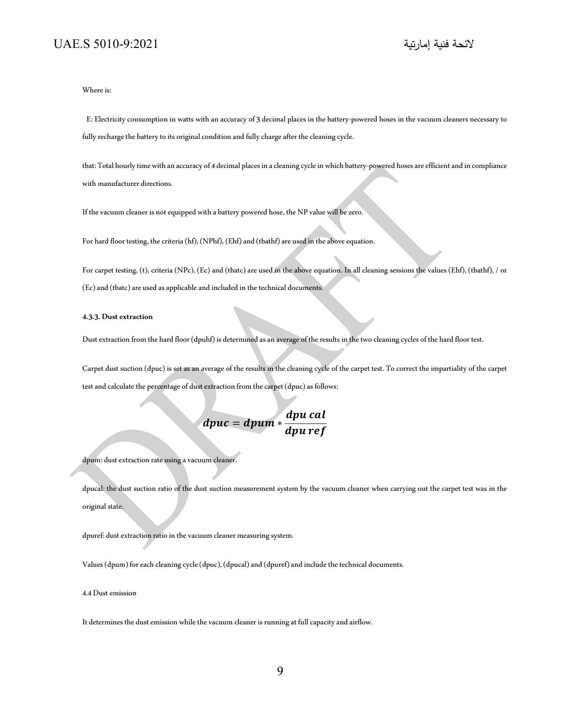Where is:

E: Electricity consumption in watts with an accuracy of 3 decimal places in the battery-powered hoses in the vacuum cleaners necessary to fully recharge the battery to its original condition and fully charge after the cleaning cycle.

tbat: Total hourly time with an accuracy of 4 decimal places in a cleaning cycle in which battery-powered hoses are efficient and in compliance with manufacturer directions.

If the vacuum cleaner is not equipped with a battery powered hose, the NP value will be zero.

For hard floor testing, the criteria (hf), (NPhf), (Ehf) and (tbathf) are used in the above equation.

For carpet testing, (t), criteria (NPc), (Ec) and (tbatc) are used in the above equation. In all cleaning sessions the values (Ehf), (tbathf), / or (Ec) and (tbatc) are used as applicable and included in the technical documents.

## **4.3.3. Dust extraction**

Dust extraction from the hard floor (dpuhf) is determined as an average of the results in the two cleaning cycles of the hard floor test.

Carpet dust suction (dpuc) is set as an average of the results in the cleaning cycle of the carpet test. To correct the impartiality of the carpet test and calculate the percentage of dust extraction from the carpet (dpuc) as follows:

 $dpuc = dpum * \frac{dpu \, cal}{dt}$ dpu ref

dpum: dust extraction rate using a vacuum cleaner.

dpucal: the dust suction ratio of the dust suction measurement system by the vacuum cleaner when carrying out the carpet test was in the original state.

dpuref: dust extraction ratio in the vacuum cleaner measuring system.

Values (dpum) for each cleaning cycle (dpuc), (dpucal) and (dpuref) and include the technical documents.

4.4 Dust emission

It determines the dust emission while the vacuum cleaner is running at full capacity and airflow.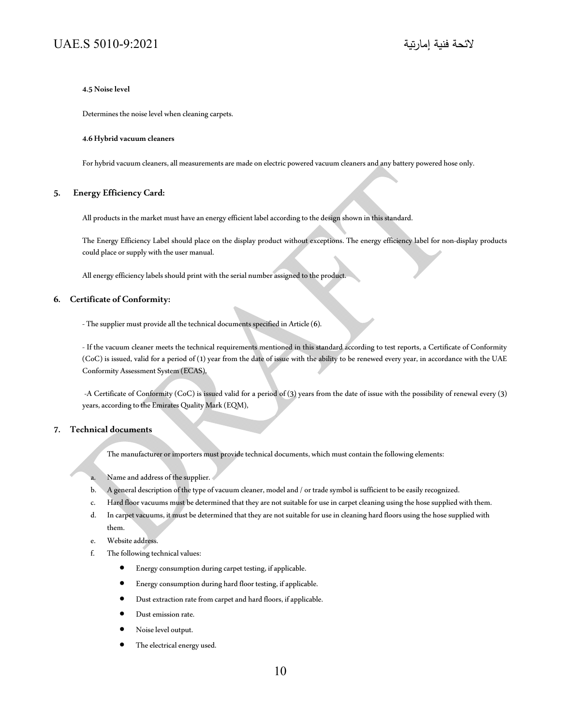## **4.5 Noise level**

Determines the noise level when cleaning carpets.

#### **4.6 Hybrid vacuum cleaners**

For hybrid vacuum cleaners, all measurements are made on electric powered vacuum cleaners and any battery powered hose only.

# **5. Energy Efficiency Card:**

All products in the market must have an energy efficient label according to the design shown in this standard.

The Energy Efficiency Label should place on the display product without exceptions. The energy efficiency label for non-display products could place or supply with the user manual.

All energy efficiency labels should print with the serial number assigned to the product.

# **6. Certificate of Conformity:**

The supplier must provide all the technical documents specified in Article (6).

- If the vacuum cleaner meets the technical requirements mentioned in this standard according to test reports, a Certificate of Conformity (CoC) is issued, valid for a period of (1) year from the date of issue with the ability to be renewed every year, in accordance with the UAE Conformity Assessment System (ECAS),

 A Certificate of Conformity (CoC) is issued valid for a period of (3) years from the date of issue with the possibility of renewal every (3) years, according to the Emirates Quality Mark (EQM),

# **7. Technical documents**

The manufacturer or importers must provide technical documents, which must contain the following elements:

- a. Name and address of the supplier.
- b. A general description of the type of vacuum cleaner, model and / or trade symbol is sufficient to be easily recognized.
- c. Hard floor vacuums must be determined that they are not suitable for use in carpet cleaning using the hose supplied with them.
- d. In carpet vacuums, it must be determined that they are not suitable for use in cleaning hard floors using the hose supplied with them.
- e. Website address.
- f. The following technical values:
	- Energy consumption during carpet testing, if applicable.
	- Energy consumption during hard floor testing, if applicable.
	- Dust extraction rate from carpet and hard floors, if applicable.
	- Dust emission rate.
	- Noise level output.
	- The electrical energy used.